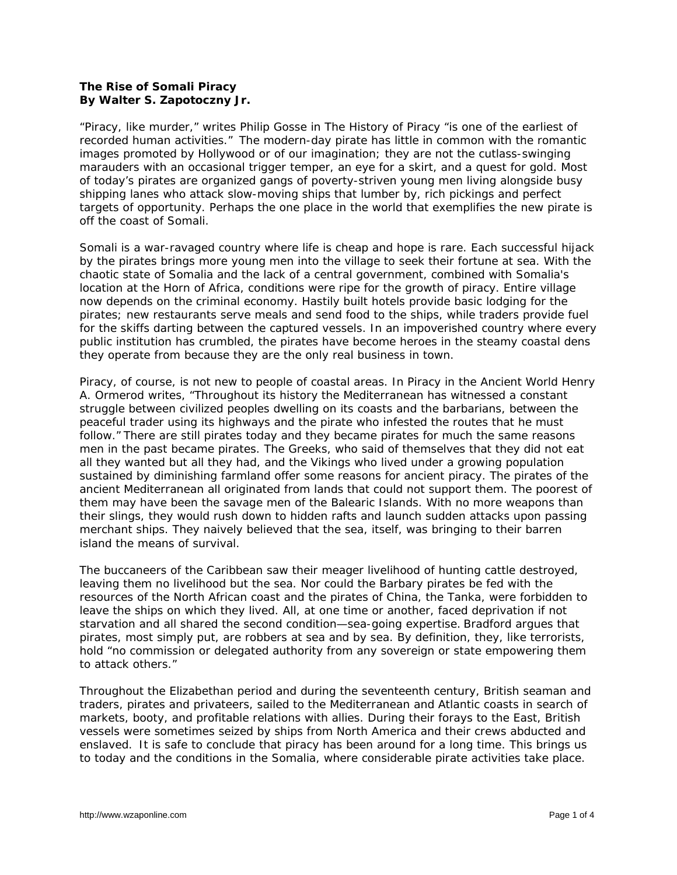## **The Rise of Somali Piracy By Walter S. Zapotoczny Jr.**

"Piracy, like murder," writes Philip Gosse in *The History of Piracy* "is one of the earliest of recorded human activities." The modern-day pirate has little in common with the romantic images promoted by Hollywood or of our imagination; they are not the cutlass-swinging marauders with an occasional trigger temper, an eye for a skirt, and a quest for gold. Most of today's pirates are organized gangs of poverty-striven young men living alongside busy shipping lanes who attack slow-moving ships that lumber by, rich pickings and perfect targets of opportunity. Perhaps the one place in the world that exemplifies the new pirate is off the coast of Somali.

Somali is a war-ravaged country where life is cheap and hope is rare. Each successful hijack by the pirates brings more young men into the village to seek their fortune at sea. With the chaotic state of Somalia and the lack of a central government, combined with Somalia's location at the Horn of Africa, conditions were ripe for the growth of piracy. Entire village now depends on the criminal economy. Hastily built hotels provide basic lodging for the pirates; new restaurants serve meals and send food to the ships, while traders provide fuel for the skiffs darting between the captured vessels. In an impoverished country where every public institution has crumbled, the pirates have become heroes in the steamy coastal dens they operate from because they are the only real business in town.

Piracy, of course, is not new to people of coastal areas. In *Piracy in the Ancient World* Henry A. Ormerod writes, "Throughout its history the Mediterranean has witnessed a constant struggle between civilized peoples dwelling on its coasts and the barbarians, between the peaceful trader using its highways and the pirate who infested the routes that he must follow." There are still pirates today and they became pirates for much the same reasons men in the past became pirates. The Greeks, who said of themselves that they did not eat all they wanted but all they had, and the Vikings who lived under a growing population sustained by diminishing farmland offer some reasons for ancient piracy. The pirates of the ancient Mediterranean all originated from lands that could not support them. The poorest of them may have been the savage men of the Balearic Islands. With no more weapons than their slings, they would rush down to hidden rafts and launch sudden attacks upon passing merchant ships. They naively believed that the sea, itself, was bringing to their barren island the means of survival.

The buccaneers of the Caribbean saw their meager livelihood of hunting cattle destroyed, leaving them no livelihood but the sea. Nor could the Barbary pirates be fed with the resources of the North African coast and the pirates of China, the Tanka, were forbidden to leave the ships on which they lived. All, at one time or another, faced deprivation if not starvation and all shared the second condition—sea-going expertise. Bradford argues that pirates, most simply put, are robbers at sea and by sea. By definition, they, like terrorists, hold "no commission or delegated authority from any sovereign or state empowering them to attack others."

Throughout the Elizabethan period and during the seventeenth century, British seaman and traders, pirates and privateers, sailed to the Mediterranean and Atlantic coasts in search of markets, booty, and profitable relations with allies. During their forays to the East, British vessels were sometimes seized by ships from North America and their crews abducted and enslaved. It is safe to conclude that piracy has been around for a long time. This brings us to today and the conditions in the Somalia, where considerable pirate activities take place.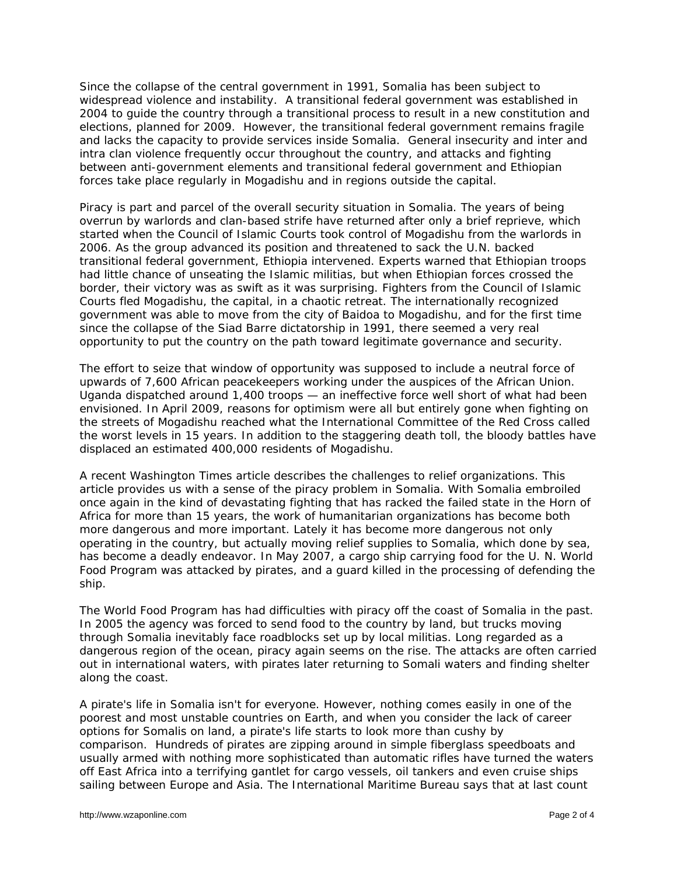Since the collapse of the central government in 1991, Somalia has been subject to widespread violence and instability. A transitional federal government was established in 2004 to guide the country through a transitional process to result in a new constitution and elections, planned for 2009. However, the transitional federal government remains fragile and lacks the capacity to provide services inside Somalia. General insecurity and inter and intra clan violence frequently occur throughout the country, and attacks and fighting between anti-government elements and transitional federal government and Ethiopian forces take place regularly in Mogadishu and in regions outside the capital.

Piracy is part and parcel of the overall security situation in Somalia. The years of being overrun by warlords and clan-based strife have returned after only a brief reprieve, which started when the Council of Islamic Courts took control of Mogadishu from the warlords in 2006. As the group advanced its position and threatened to sack the U.N. backed transitional federal government, Ethiopia intervened. Experts warned that Ethiopian troops had little chance of unseating the Islamic militias, but when Ethiopian forces crossed the border, their victory was as swift as it was surprising. Fighters from the Council of Islamic Courts fled Mogadishu, the capital, in a chaotic retreat. The internationally recognized government was able to move from the city of Baidoa to Mogadishu, and for the first time since the collapse of the Siad Barre dictatorship in 1991, there seemed a very real opportunity to put the country on the path toward legitimate governance and security.

The effort to seize that window of opportunity was supposed to include a neutral force of upwards of 7,600 African peacekeepers working under the auspices of the African Union. Uganda dispatched around 1,400 troops — an ineffective force well short of what had been envisioned. In April 2009, reasons for optimism were all but entirely gone when fighting on the streets of Mogadishu reached what the International Committee of the Red Cross called the worst levels in 15 years. In addition to the staggering death toll, the bloody battles have displaced an estimated 400,000 residents of Mogadishu.

A recent *Washington Times* article describes the challenges to relief organizations. This article provides us with a sense of the piracy problem in Somalia. With Somalia embroiled once again in the kind of devastating fighting that has racked the failed state in the Horn of Africa for more than 15 years, the work of humanitarian organizations has become both more dangerous and more important. Lately it has become more dangerous not only operating in the country, but actually moving relief supplies to Somalia, which done by sea, has become a deadly endeavor. In May 2007, a cargo ship carrying food for the U. N. World Food Program was attacked by pirates, and a guard killed in the processing of defending the ship.

The World Food Program has had difficulties with piracy off the coast of Somalia in the past. In 2005 the agency was forced to send food to the country by land, but trucks moving through Somalia inevitably face roadblocks set up by local militias. Long regarded as a dangerous region of the ocean, piracy again seems on the rise. The attacks are often carried out in international waters, with pirates later returning to Somali waters and finding shelter along the coast.

A pirate's life in Somalia isn't for everyone. However, nothing comes easily in one of the poorest and most unstable countries on Earth, and when you consider the lack of career options for Somalis on land, a pirate's life starts to look more than cushy by comparison. Hundreds of pirates are zipping around in simple fiberglass speedboats and usually armed with nothing more sophisticated than automatic rifles have turned the waters off East Africa into a terrifying gantlet for cargo vessels, oil tankers and even cruise ships sailing between Europe and Asia. The International Maritime Bureau says that at last count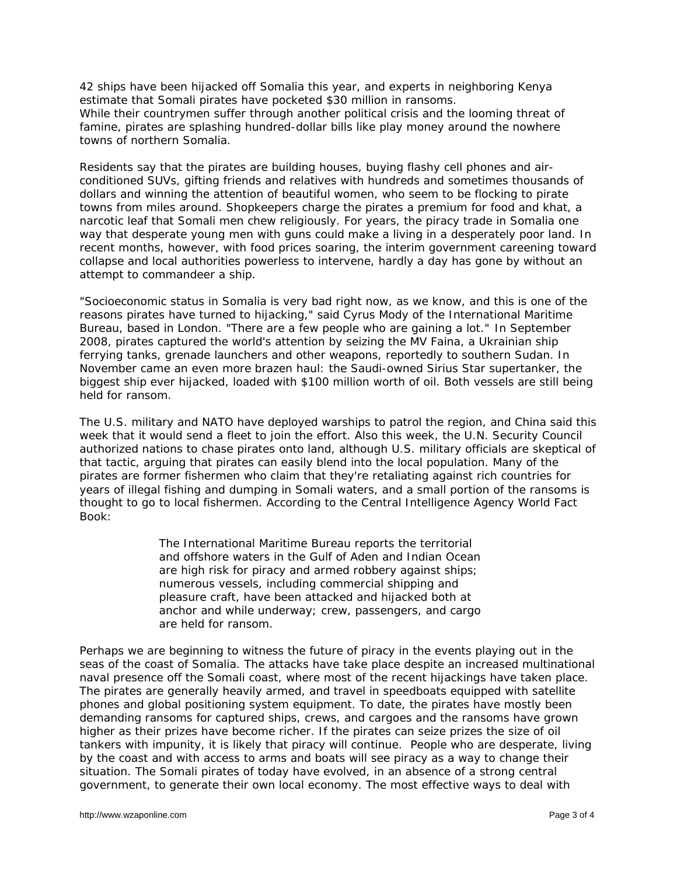42 ships have been hijacked off Somalia this year, and experts in neighboring Kenya estimate that Somali pirates have pocketed \$30 million in ransoms. While their countrymen suffer through another political crisis and the looming threat of famine, pirates are splashing hundred-dollar bills like play money around the nowhere towns of northern Somalia.

Residents say that the pirates are building houses, buying flashy cell phones and airconditioned SUVs, gifting friends and relatives with hundreds and sometimes thousands of dollars and winning the attention of beautiful women, who seem to be flocking to pirate towns from miles around. Shopkeepers charge the pirates a premium for food and *khat*, a narcotic leaf that Somali men chew religiously. For years, the piracy trade in Somalia one way that desperate young men with guns could make a living in a desperately poor land. In recent months, however, with food prices soaring, the interim government careening toward collapse and local authorities powerless to intervene, hardly a day has gone by without an attempt to commandeer a ship.

"Socioeconomic status in Somalia is very bad right now, as we know, and this is one of the reasons pirates have turned to hijacking," said Cyrus Mody of the International Maritime Bureau, based in London. "There are a few people who are gaining a lot." In September 2008, pirates captured the world's attention by seizing the MV Faina, a Ukrainian ship ferrying tanks, grenade launchers and other weapons, reportedly to southern Sudan. In November came an even more brazen haul: the Saudi-owned Sirius Star supertanker, the biggest ship ever hijacked, loaded with \$100 million worth of oil. Both vessels are still being held for ransom.

The U.S. military and NATO have deployed warships to patrol the region, and China said this week that it would send a fleet to join the effort. Also this week, the U.N. Security Council authorized nations to chase pirates onto land, although U.S. military officials are skeptical of that tactic, arguing that pirates can easily blend into the local population. Many of the pirates are former fishermen who claim that they're retaliating against rich countries for years of illegal fishing and dumping in Somali waters, and a small portion of the ransoms is thought to go to local fishermen. According to the Central Intelligence Agency World Fact Book:

> The International Maritime Bureau reports the territorial and offshore waters in the Gulf of Aden and Indian Ocean are high risk for piracy and armed robbery against ships; numerous vessels, including commercial shipping and pleasure craft, have been attacked and hijacked both at anchor and while underway; crew, passengers, and cargo are held for ransom.

Perhaps we are beginning to witness the future of piracy in the events playing out in the seas of the coast of Somalia. The attacks have take place despite an increased multinational naval presence off the Somali coast, where most of the recent hijackings have taken place. The pirates are generally heavily armed, and travel in speedboats equipped with satellite phones and global positioning system equipment. To date, the pirates have mostly been demanding ransoms for captured ships, crews, and cargoes and the ransoms have grown higher as their prizes have become richer. If the pirates can seize prizes the size of oil tankers with impunity, it is likely that piracy will continue. People who are desperate, living by the coast and with access to arms and boats will see piracy as a way to change their situation. The Somali pirates of today have evolved, in an absence of a strong central government, to generate their own local economy. The most effective ways to deal with